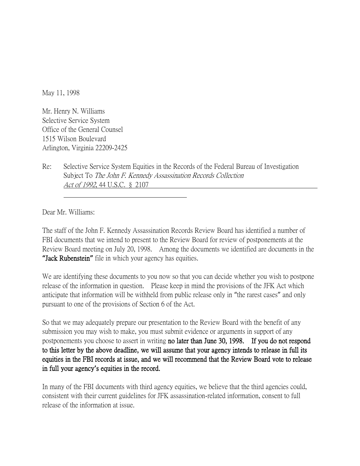May 11, 1998

Mr. Henry N. Williams Selective Service System Office of the General Counsel 1515 Wilson Boulevard Arlington, Virginia 22209-2425

Re: Selective Service System Equities in the Records of the Federal Bureau of Investigation Subject To The John F. Kennedy Assassination Records Collection Act of 1992, 44 U.S.C. § 2107

Dear Mr. Williams:

The staff of the John F. Kennedy Assassination Records Review Board has identified a number of FBI documents that we intend to present to the Review Board for review of postponements at the Review Board meeting on July 20, 1998. Among the documents we identified are documents in the **"**Jack Rubenstein**"** file in which your agency has equities.

We are identifying these documents to you now so that you can decide whether you wish to postpone release of the information in question. Please keep in mind the provisions of the JFK Act which anticipate that information will be withheld from public release only in "the rarest cases" and only pursuant to one of the provisions of Section 6 of the Act.

So that we may adequately prepare our presentation to the Review Board with the benefit of any submission you may wish to make, you must submit evidence or arguments in support of any postponements you choose to assert in writing no later than June 30, 1998. If you do not respond to this letter by the above deadline, we will assume that your agency intends to release in full its equities in the FBI records at issue, and we will recommend that the Review Board vote to release in full your agency**'**s equities in the record.

In many of the FBI documents with third agency equities, we believe that the third agencies could, consistent with their current guidelines for JFK assassination-related information, consent to full release of the information at issue.